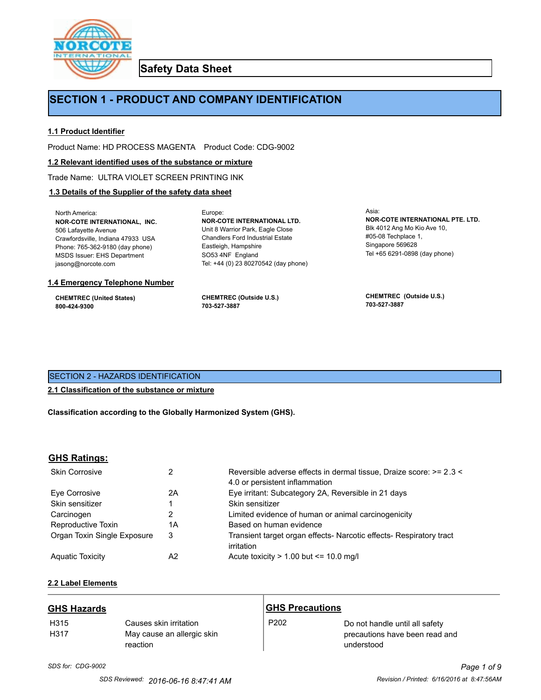

**Safety Data Sheet**

# **SECTION 1 - PRODUCT AND COMPANY IDENTIFICATION**

Europe:

### **1.1 Product Identifier**

Product Name: HD PROCESS MAGENTA Product Code: CDG-9002

### **1.2 Relevant identified uses of the substance or mixture**

Trade Name: ULTRA VIOLET SCREEN PRINTING INK

### **1.3 Details of the Supplier of the safety data sheet**

North America: **NOR-COTE INTERNATIONAL, INC.** 506 Lafayette Avenue Crawfordsville, Indiana 47933 USA Phone: 765-362-9180 (day phone) MSDS Issuer: EHS Department jasong@norcote.com

#### **1.4 Emergency Telephone Number**

**CHEMTREC (United States) 800-424-9300**

**CHEMTREC (Outside U.S.) 703-527-3887**

Eastleigh, Hampshire SO53 4NF England

**NOR-COTE INTERNATIONAL LTD.** Unit 8 Warrior Park, Eagle Close Chandlers Ford Industrial Estate

Tel: +44 (0) 23 80270542 (day phone)

Asia: **NOR-COTE INTERNATIONAL PTE. LTD.** Blk 4012 Ang Mo Kio Ave 10, #05-08 Techplace 1, Singapore 569628 Tel +65 6291-0898 (day phone)

**CHEMTREC (Outside U.S.) 703-527-3887**

# SECTION 2 - HAZARDS IDENTIFICATION

### **2.1 Classification of the substance or mixture**

**Classification according to the Globally Harmonized System (GHS).**

### **GHS Ratings:**

| <b>Skin Corrosive</b>       |    | Reversible adverse effects in dermal tissue, Draize score: >= 2.3 <<br>4.0 or persistent inflammation |
|-----------------------------|----|-------------------------------------------------------------------------------------------------------|
| Eve Corrosive               | 2Α | Eye irritant: Subcategory 2A, Reversible in 21 days                                                   |
| Skin sensitizer             |    | Skin sensitizer                                                                                       |
| Carcinogen                  | 2  | Limited evidence of human or animal carcinogenicity                                                   |
| Reproductive Toxin          | 1Α | Based on human evidence                                                                               |
| Organ Toxin Single Exposure | 3  | Transient target organ effects- Narcotic effects- Respiratory tract<br>irritation                     |
| <b>Aguatic Toxicity</b>     | A2 | Acute toxicity $> 1.00$ but $\leq 10.0$ mg/l                                                          |

# **2.2 Label Elements**

| <b>GHS Hazards</b>       |                                                                  | <b>GHS Precautions</b> |                                                                                |
|--------------------------|------------------------------------------------------------------|------------------------|--------------------------------------------------------------------------------|
| H <sub>315</sub><br>H317 | Causes skin irritation<br>May cause an allergic skin<br>reaction | P <sub>202</sub>       | Do not handle until all safety<br>precautions have been read and<br>understood |

*SDS for: CDG-9002 Page 1 of 9*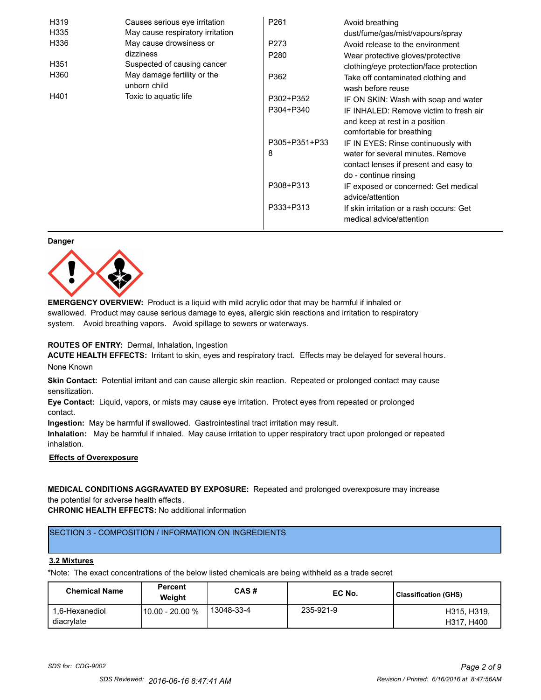| H319             | Causes serious eye irritation               | P <sub>261</sub> | Avoid breathing                                                            |
|------------------|---------------------------------------------|------------------|----------------------------------------------------------------------------|
| H335             | May cause respiratory irritation            |                  | dust/fume/gas/mist/vapours/spray                                           |
| H336             | May cause drowsiness or                     | P273             | Avoid release to the environment                                           |
|                  | dizziness                                   | P <sub>280</sub> | Wear protective gloves/protective                                          |
| H <sub>351</sub> | Suspected of causing cancer                 |                  | clothing/eye protection/face protection                                    |
| H360             | May damage fertility or the<br>unborn child | P362             | Take off contaminated clothing and<br>wash before reuse                    |
| H401             | Toxic to aquatic life                       | P302+P352        | IF ON SKIN: Wash with soap and water                                       |
|                  |                                             | P304+P340        | IF INHALED: Remove victim to fresh air<br>and keep at rest in a position   |
|                  |                                             | P305+P351+P33    | comfortable for breathing                                                  |
|                  |                                             |                  | IF IN EYES: Rinse continuously with                                        |
|                  |                                             | 8                | water for several minutes. Remove<br>contact lenses if present and easy to |
|                  |                                             |                  | do - continue rinsing                                                      |
|                  |                                             | P308+P313        | IF exposed or concerned: Get medical<br>advice/attention                   |
|                  |                                             | P333+P313        | If skin irritation or a rash occurs: Get<br>medical advice/attention       |

#### **Danger**



**EMERGENCY OVERVIEW:** Product is a liquid with mild acrylic odor that may be harmful if inhaled or swallowed. Product may cause serious damage to eyes, allergic skin reactions and irritation to respiratory system. Avoid breathing vapors. Avoid spillage to sewers or waterways.

### **ROUTES OF ENTRY:** Dermal, Inhalation, Ingestion

**ACUTE HEALTH EFFECTS:** Irritant to skin, eyes and respiratory tract. Effects may be delayed for several hours. None Known

**Skin Contact:** Potential irritant and can cause allergic skin reaction. Repeated or prolonged contact may cause sensitization.

**Eye Contact:** Liquid, vapors, or mists may cause eye irritation. Protect eyes from repeated or prolonged contact.

**Ingestion:** May be harmful if swallowed. Gastrointestinal tract irritation may result.

**Inhalation:** May be harmful if inhaled. May cause irritation to upper respiratory tract upon prolonged or repeated inhalation.

# **Effects of Overexposure**

# **MEDICAL CONDITIONS AGGRAVATED BY EXPOSURE:** Repeated and prolonged overexposure may increase the potential for adverse health effects.

**CHRONIC HEALTH EFFECTS:** No additional information

# SECTION 3 - COMPOSITION / INFORMATION ON INGREDIENTS

#### **3.2 Mixtures**

\*Note: The exact concentrations of the below listed chemicals are being withheld as a trade secret

| <b>Chemical Name</b>         | <b>Percent</b><br>Weiaht | CAS#       | EC No.    | Classification (GHS)      |
|------------------------------|--------------------------|------------|-----------|---------------------------|
| 1.6-Hexanediol<br>diacrylate | 10.00 - 20.00 %          | 13048-33-4 | 235-921-9 | H315, H319.<br>H317, H400 |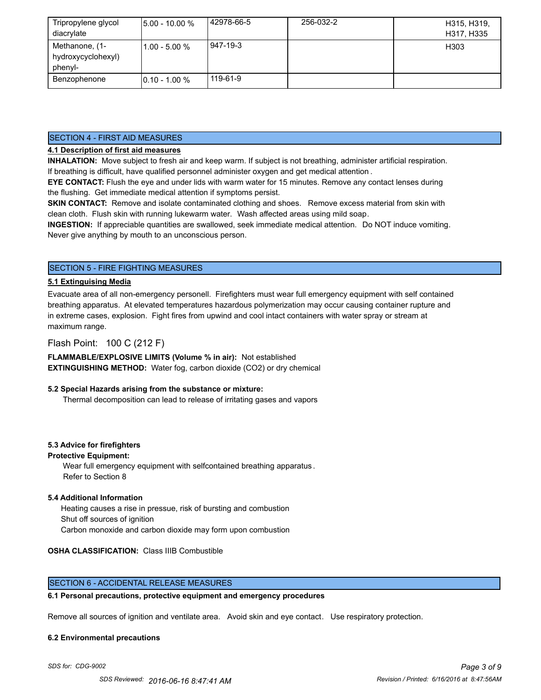| Tripropylene glycol<br>diacrylate               | $5.00 - 10.00 %$ | 42978-66-5 | 256-032-2 | H315, H319,<br>H317, H335 |
|-------------------------------------------------|------------------|------------|-----------|---------------------------|
| Methanone, (1-<br>hydroxycyclohexyl)<br>phenyl- | $11.00 - 5.00 %$ | 947-19-3   |           | H303                      |
| Benzophenone                                    | $10.10 - 1.00 %$ | 119-61-9   |           |                           |

### SECTION 4 - FIRST AID MEASURES

### **4.1 Description of first aid measures**

**INHALATION:** Move subject to fresh air and keep warm. If subject is not breathing, administer artificial respiration. If breathing is difficult, have qualified personnel administer oxygen and get medical attention .

**EYE CONTACT:** Flush the eye and under lids with warm water for 15 minutes. Remove any contact lenses during the flushing. Get immediate medical attention if symptoms persist.

**SKIN CONTACT:** Remove and isolate contaminated clothing and shoes. Remove excess material from skin with clean cloth. Flush skin with running lukewarm water. Wash affected areas using mild soap.

**INGESTION:** If appreciable quantities are swallowed, seek immediate medical attention. Do NOT induce vomiting. Never give anything by mouth to an unconscious person.

# SECTION 5 - FIRE FIGHTING MEASURES

### **5.1 Extinguising Media**

Evacuate area of all non-emergency personell. Firefighters must wear full emergency equipment with self contained breathing apparatus. At elevated temperatures hazardous polymerization may occur causing container rupture and in extreme cases, explosion. Fight fires from upwind and cool intact containers with water spray or stream at maximum range.

### Flash Point: 100 C (212 F)

**FLAMMABLE/EXPLOSIVE LIMITS (Volume % in air):** Not established **EXTINGUISHING METHOD:** Water fog, carbon dioxide (CO2) or dry chemical

### **5.2 Special Hazards arising from the substance or mixture:**

Thermal decomposition can lead to release of irritating gases and vapors

### **5.3 Advice for firefighters**

### **Protective Equipment:**

Wear full emergency equipment with selfcontained breathing apparatus . Refer to Section 8

### **5.4 Additional Information**

 Heating causes a rise in pressue, risk of bursting and combustion Shut off sources of ignition Carbon monoxide and carbon dioxide may form upon combustion

### **OSHA CLASSIFICATION:** Class IIIB Combustible

### SECTION 6 - ACCIDENTAL RELEASE MEASURES

### **6.1 Personal precautions, protective equipment and emergency procedures**

Remove all sources of ignition and ventilate area. Avoid skin and eye contact. Use respiratory protection.

#### **6.2 Environmental precautions**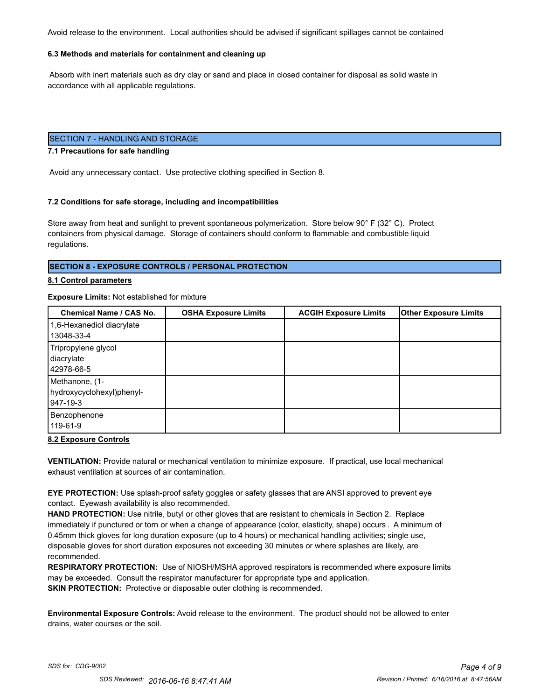Avoid release to the environment. Local authorities should be advised if significant spillages cannot be contained

### **6.3 Methods and materials for containment and cleaning up**

 Absorb with inert materials such as dry clay or sand and place in closed container for disposal as solid waste in accordance with all applicable regulations.

### SECTION 7 - HANDLING AND STORAGE

#### **7.1 Precautions for safe handling**

Avoid any unnecessary contact. Use protective clothing specified in Section 8.

#### **7.2 Conditions for safe storage, including and incompatibilities**

Store away from heat and sunlight to prevent spontaneous polymerization. Store below 90° F (32° C). Protect containers from physical damage. Storage of containers should conform to flammable and combustible liquid regulations.

### **SECTION 8 - EXPOSURE CONTROLS / PERSONAL PROTECTION**

#### **8.1 Control parameters**

#### **Exposure Limits:** Not established for mixture

| Chemical Name / CAS No.                                 | <b>OSHA Exposure Limits</b> | <b>ACGIH Exposure Limits</b> | <b>Other Exposure Limits</b> |
|---------------------------------------------------------|-----------------------------|------------------------------|------------------------------|
| 1,6-Hexanediol diacrylate                               |                             |                              |                              |
| 13048-33-4                                              |                             |                              |                              |
| Tripropylene glycol<br>diacrylate<br>42978-66-5         |                             |                              |                              |
| Methanone, (1-<br>hydroxycyclohexyl)phenyl-<br>947-19-3 |                             |                              |                              |
| Benzophenone<br>119-61-9                                |                             |                              |                              |

#### **8.2 Exposure Controls**

**VENTILATION:** Provide natural or mechanical ventilation to minimize exposure. If practical, use local mechanical exhaust ventilation at sources of air contamination.

**EYE PROTECTION:** Use splash-proof safety goggles or safety glasses that are ANSI approved to prevent eye contact. Eyewash availability is also recommended.

**HAND PROTECTION:** Use nitrile, butyl or other gloves that are resistant to chemicals in Section 2. Replace immediately if punctured or torn or when a change of appearance (color, elasticity, shape) occurs . A minimum of 0.45mm thick gloves for long duration exposure (up to 4 hours) or mechanical handling activities; single use, disposable gloves for short duration exposures not exceeding 30 minutes or where splashes are likely, are recommended.

**RESPIRATORY PROTECTION:** Use of NIOSH/MSHA approved respirators is recommended where exposure limits may be exceeded. Consult the respirator manufacturer for appropriate type and application. **SKIN PROTECTION:** Protective or disposable outer clothing is recommended.

**Environmental Exposure Controls:** Avoid release to the environment. The product should not be allowed to enter drains, water courses or the soil.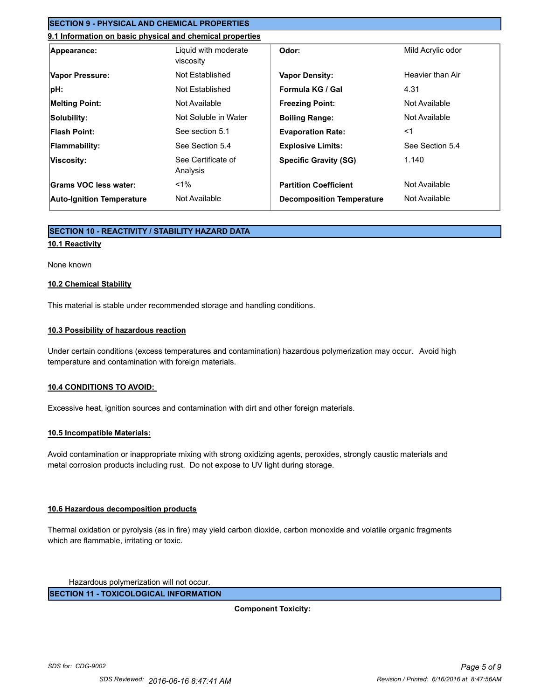# **SECTION 9 - PHYSICAL AND CHEMICAL PROPERTIES**

# **9.1 Information on basic physical and chemical properties**

| Appearance:                      | Liquid with moderate<br>viscosity | Odor:                            | Mild Acrylic odor |
|----------------------------------|-----------------------------------|----------------------------------|-------------------|
| Vapor Pressure:                  | Not Established                   | <b>Vapor Density:</b>            | Heavier than Air  |
| pH:                              | Not Established                   | Formula KG / Gal                 | 4.31              |
| <b>Melting Point:</b>            | Not Available                     | <b>Freezing Point:</b>           | Not Available     |
| Solubility:                      | Not Soluble in Water              | <b>Boiling Range:</b>            | Not Available     |
| <b>Flash Point:</b>              | See section 5.1                   | <b>Evaporation Rate:</b>         | $<$ 1             |
| <b>Flammability:</b>             | See Section 5.4                   | <b>Explosive Limits:</b>         | See Section 5.4   |
| Viscosity:                       | See Certificate of<br>Analysis    | <b>Specific Gravity (SG)</b>     | 1.140             |
| Grams VOC less water:            | $< 1\%$                           | <b>Partition Coefficient</b>     | Not Available     |
| <b>Auto-Ignition Temperature</b> | Not Available                     | <b>Decomposition Temperature</b> | Not Available     |

### **SECTION 10 - REACTIVITY / STABILITY HAZARD DATA**

#### **10.1 Reactivity**

#### None known

#### **10.2 Chemical Stability**

This material is stable under recommended storage and handling conditions.

### **10.3 Possibility of hazardous reaction**

Under certain conditions (excess temperatures and contamination) hazardous polymerization may occur. Avoid high temperature and contamination with foreign materials.

### **10.4 CONDITIONS TO AVOID:**

Excessive heat, ignition sources and contamination with dirt and other foreign materials.

### **10.5 Incompatible Materials:**

Avoid contamination or inappropriate mixing with strong oxidizing agents, peroxides, strongly caustic materials and metal corrosion products including rust. Do not expose to UV light during storage.

### **10.6 Hazardous decomposition products**

Thermal oxidation or pyrolysis (as in fire) may yield carbon dioxide, carbon monoxide and volatile organic fragments which are flammable, irritating or toxic.

Hazardous polymerization will not occur.

**SECTION 11 - TOXICOLOGICAL INFORMATION**

**Component Toxicity:**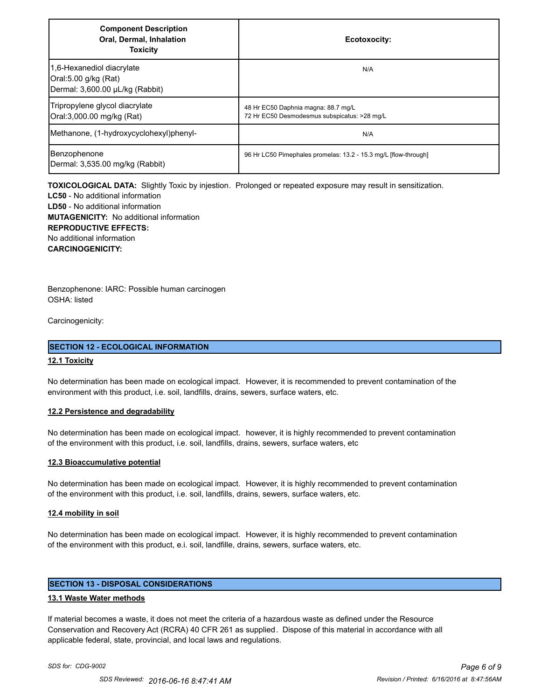| <b>Component Description</b><br>Oral, Dermal, Inhalation<br><b>Toxicity</b>          | Ecotoxocity:                                                                        |
|--------------------------------------------------------------------------------------|-------------------------------------------------------------------------------------|
| 1,6-Hexanediol diacrylate<br>Oral:5.00 g/kg (Rat)<br>Dermal: 3,600.00 µL/kg (Rabbit) | N/A                                                                                 |
| Tripropylene glycol diacrylate<br>Oral:3,000.00 mg/kg (Rat)                          | 48 Hr EC50 Daphnia magna: 88.7 mg/L<br>72 Hr EC50 Desmodesmus subspicatus: >28 mg/L |
| Methanone, (1-hydroxycyclohexyl)phenyl-                                              | N/A                                                                                 |
| Benzophenone<br>Dermal: 3,535.00 mg/kg (Rabbit)                                      | 96 Hr LC50 Pimephales promelas: 13.2 - 15.3 mg/L [flow-through]                     |

**TOXICOLOGICAL DATA:** Slightly Toxic by injestion. Prolonged or repeated exposure may result in sensitization.

**LC50** - No additional information **LD50** - No additional information **MUTAGENICITY:** No additional information **REPRODUCTIVE EFFECTS:** No additional information **CARCINOGENICITY:**

Benzophenone: IARC: Possible human carcinogen OSHA: listed

Carcinogenicity:

### **SECTION 12 - ECOLOGICAL INFORMATION**

### **12.1 Toxicity**

No determination has been made on ecological impact. However, it is recommended to prevent contamination of the environment with this product, i.e. soil, landfills, drains, sewers, surface waters, etc.

### **12.2 Persistence and degradability**

No determination has been made on ecological impact. however, it is highly recommended to prevent contamination of the environment with this product, i.e. soil, landfills, drains, sewers, surface waters, etc

### **12.3 Bioaccumulative potential**

No determination has been made on ecological impact. However, it is highly recommended to prevent contamination of the environment with this product, i.e. soil, landfills, drains, sewers, surface waters, etc.

### **12.4 mobility in soil**

No determination has been made on ecological impact. However, it is highly recommended to prevent contamination of the environment with this product, e.i. soil, landfille, drains, sewers, surface waters, etc.

# **SECTION 13 - DISPOSAL CONSIDERATIONS**

### **13.1 Waste Water methods**

If material becomes a waste, it does not meet the criteria of a hazardous waste as defined under the Resource Conservation and Recovery Act (RCRA) 40 CFR 261 as supplied. Dispose of this material in accordance with all applicable federal, state, provincial, and local laws and regulations.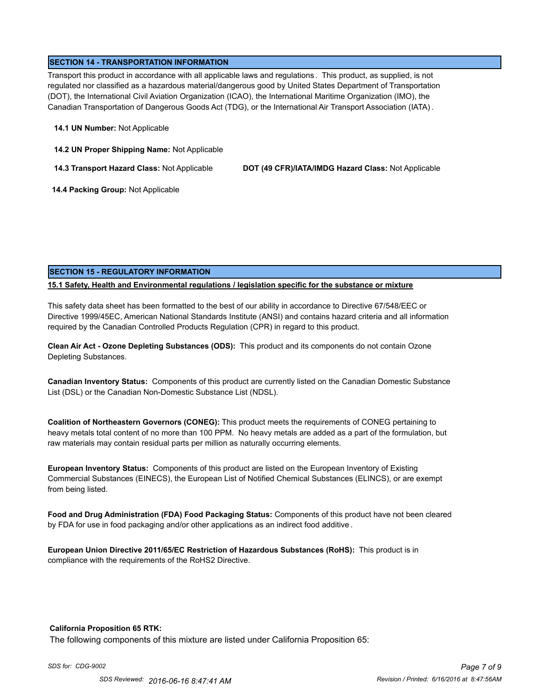### **SECTION 14 - TRANSPORTATION INFORMATION**

Transport this product in accordance with all applicable laws and regulations . This product, as supplied, is not regulated nor classified as a hazardous material/dangerous good by United States Department of Transportation (DOT), the International Civil Aviation Organization (ICAO), the International Maritime Organization (IMO), the Canadian Transportation of Dangerous Goods Act (TDG), or the International Air Transport Association (IATA) .

#### **14.1 UN Number:** Not Applicable

**14.2 UN Proper Shipping Name:** Not Applicable

**14.3 Transport Hazard Class:** Not Applicable **DOT (49 CFR)/IATA/IMDG Hazard Class:** Not Applicable

 **14.4 Packing Group:** Not Applicable

### **SECTION 15 - REGULATORY INFORMATION**

### **15.1 Safety, Health and Environmental regulations / legislation specific for the substance or mixture**

This safety data sheet has been formatted to the best of our ability in accordance to Directive 67/548/EEC or Directive 1999/45EC, American National Standards Institute (ANSI) and contains hazard criteria and all information required by the Canadian Controlled Products Regulation (CPR) in regard to this product.

**Clean Air Act - Ozone Depleting Substances (ODS):** This product and its components do not contain Ozone Depleting Substances.

**Canadian Inventory Status:** Components of this product are currently listed on the Canadian Domestic Substance List (DSL) or the Canadian Non-Domestic Substance List (NDSL).

**Coalition of Northeastern Governors (CONEG):** This product meets the requirements of CONEG pertaining to heavy metals total content of no more than 100 PPM. No heavy metals are added as a part of the formulation, but raw materials may contain residual parts per million as naturally occurring elements.

**European Inventory Status:** Components of this product are listed on the European Inventory of Existing Commercial Substances (EINECS), the European List of Notified Chemical Substances (ELINCS), or are exempt from being listed.

**Food and Drug Administration (FDA) Food Packaging Status:** Components of this product have not been cleared by FDA for use in food packaging and/or other applications as an indirect food additive .

**European Union Directive 2011/65/EC Restriction of Hazardous Substances (RoHS):** This product is in compliance with the requirements of the RoHS2 Directive.

### **California Proposition 65 RTK:**

The following components of this mixture are listed under California Proposition 65: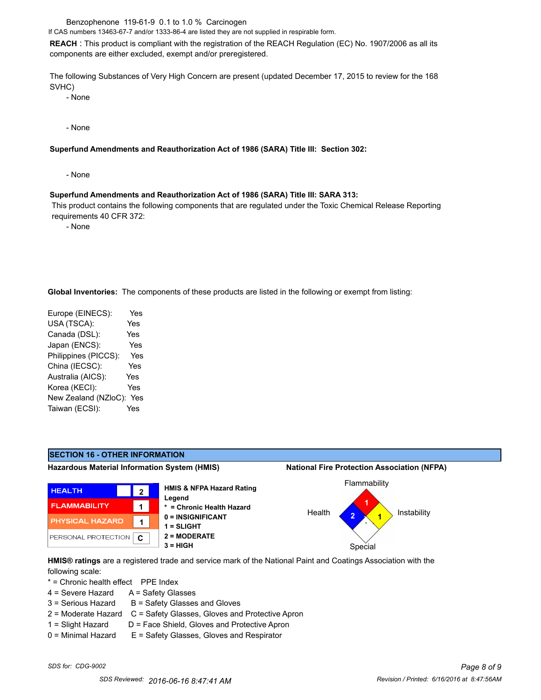Benzophenone 119-61-9 0.1 to 1.0 % Carcinogen

If CAS numbers 13463-67-7 and/or 1333-86-4 are listed they are not supplied in respirable form.

**REACH** : This product is compliant with the registration of the REACH Regulation (EC) No. 1907/2006 as all its components are either excluded, exempt and/or preregistered.

The following Substances of Very High Concern are present (updated December 17, 2015 to review for the 168 SVHC)

- None

- None

#### **Superfund Amendments and Reauthorization Act of 1986 (SARA) Title III: Section 302:**

- None

#### **Superfund Amendments and Reauthorization Act of 1986 (SARA) Title III: SARA 313:**

 This product contains the following components that are regulated under the Toxic Chemical Release Reporting requirements 40 CFR 372:

- None

**Global Inventories:** The components of these products are listed in the following or exempt from listing:

| Europe (EINECS):     | Yes        |
|----------------------|------------|
| USA (TSCA):          | Yes        |
| Canada (DSL):        | <b>Yes</b> |
| Japan (ENCS):        | Yes        |
| Philippines (PICCS): | Yes        |
| China (IECSC):       | Yes        |
| Australia (AICS):    | Yes        |
| Korea (KECI):        | Yes        |
| New Zealand (NZloC): | Yes        |
| Taiwan (ECSI):       | Yes        |
|                      |            |



**HMIS® ratings** are a registered trade and service mark of the National Paint and Coatings Association with the following scale:

\* = Chronic health effect PPE Index

- 4 = Severe Hazard A = Safety Glasses
- $3 =$  Serious Hazard  $B =$  Safety Glasses and Gloves
- 2 = Moderate Hazard C = Safety Glasses, Gloves and Protective Apron
- $1 =$  Slight Hazard  $D =$  Face Shield, Gloves and Protective Apron
- 0 = Minimal Hazard E = Safety Glasses, Gloves and Respirator